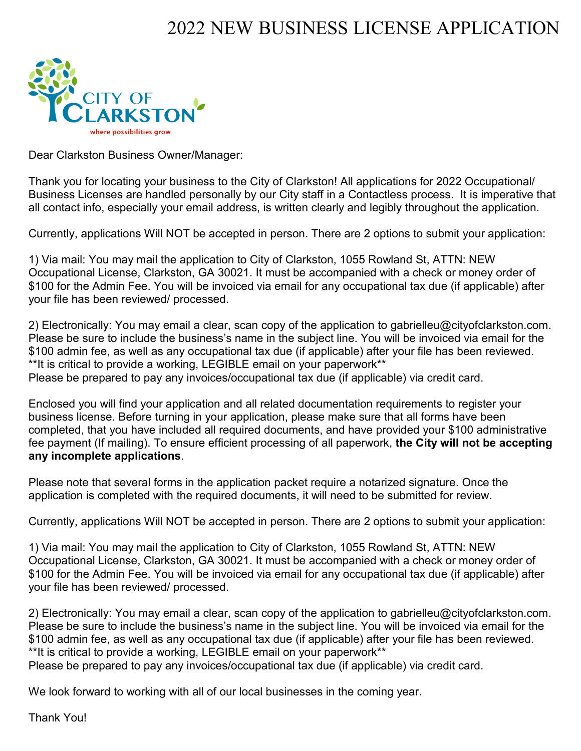# 2022 NEW BUSINESS LICENSE APPLICATION



Dear Clarkston Business Owner/Manager:

Thank you for locating your business to the City of Clarkston! All applications for 2022 Occupational/ Business Licenses are handled personally by our City staff in a Contactless process. It is imperative that all contact info, especially your email address, is written clearly and legibly throughout the application.

Currently, applications Will NOT be accepted in person. There are 2 options to submit your application:

1) Via mail: You may mail the application to City of Clarkston, 1055 Rowland St, ATTN: NEW Occupational License, Clarkston, GA 30021. It must be accompanied with a check or money order of \$100 for the Admin Fee. You will be invoiced via email for any occupational tax due (if applicable) after your file has been reviewed/ processed.

2) Electronically: You may email a clear, scan copy of the application to gabrielleu@cityofclarkston.com. Please be sure to include the business's name in the subject line. You will be invoiced via email for the \$100 admin fee, as well as any occupational tax due (if applicable) after your file has been reviewed. \*\*It is critical to provide a working, LEGIBLE email on your paperwork\*\* Please be prepared to pay any invoices/occupational tax due (if applicable) via credit card.

Enclosed you will find your application and all related documentation requirements to register your business license. Before turning in your application, please make sure that all forms have been completed, that you have included all required documents, and have provided your \$100 administrative fee payment (If mailing). To ensure efficient processing of all paperwork, **the City will not be accepting any incomplete applications**.

Please note that several forms in the application packet require a notarized signature. Once the application is completed with the required documents, it will need to be submitted for review.

Currently, applications Will NOT be accepted in person. There are 2 options to submit your application:

1) Via mail: You may mail the application to City of Clarkston, 1055 Rowland St, ATTN: NEW Occupational License, Clarkston, GA 30021. It must be accompanied with a check or money order of \$100 for the Admin Fee. You will be invoiced via email for any occupational tax due (if applicable) after your file has been reviewed/ processed.

2) Electronically: You may email a clear, scan copy of the application to gabrielleu@cityofclarkston.com. Please be sure to include the business's name in the subject line. You will be invoiced via email for the \$100 admin fee, as well as any occupational tax due (if applicable) after your file has been reviewed. \*\*It is critical to provide a working, LEGIBLE email on your paperwork\*\*

Please be prepared to pay any invoices/occupational tax due (if applicable) via credit card.

We look forward to working with all of our local businesses in the coming year.

Thank You!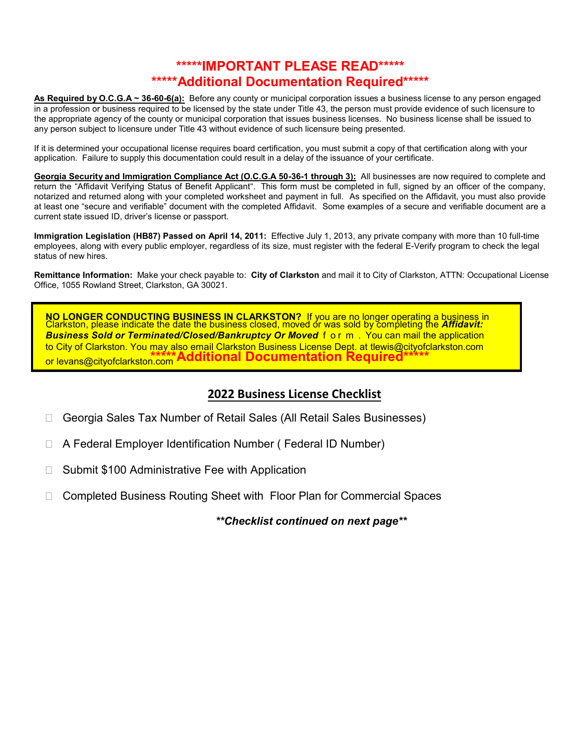## **\*\*\*\*\*IMPORTANT PLEASE READ\*\*\*\*\* \*\*\*\*\*Additional Documentation Required\*\*\*\*\***

**As Required by O.C.G.A ~ 36-60-6(a):** Before any county or municipal corporation issues a business license to any person engaged in a profession or business required to be licensed by the state under Title 43, the person must provide evidence of such licensure to the appropriate agency of the county or municipal corporation that issues business licenses. No business license shall be issued to any person subject to licensure under Title 43 without evidence of such licensure being presented.

If it is determined your occupational license requires board certification, you must submit a copy of that certification along with your application. Failure to supply this documentation could result in a delay of the issuance of your certificate.

**Georgia Security and Immigration Compliance Act (O.C.G.A 50-36-1 through 3):** All businesses are now required to complete and return the "Affidavit Verifying Status of Benefit Applicant". This form must be completed in full, signed by an officer of the company, notarized and returned along with your completed worksheet and payment in full. As specified on the Affidavit, you must also provide at least one "secure and verifiable" document with the completed Affidavit. Some examples of a secure and verifiable document are a current state issued ID, driver's license or passport.

**Immigration Legislation (HB87) Passed on April 14, 2011:** Effective July 1, 2013, any private company with more than 10 full-time employees, along with every public employer, regardless of its size, must register with the federal E-Verify program to check the legal status of new hires.

**Remittance Information:** Make your check payable to: **City of Clarkston** and mail it to City of Clarkston, ATTN: Occupational License Office, 1055 Rowland Street, Clarkston, GA 30021.

**NO LONGER CONDUCTING BUSINESS IN CLARKSTON?** If you are no longer operating a business in Clarkston, please indicate the date the business closed, moved or was sold by completing the *Affidavit: Business Sold or Terminated/Closed/Bankruptcy Or Moved* f o r m . You can mail the application to City of Clarkston. You may also email Clarkston Business License Dept. at tlewis[@cityofclarkston.com](mailto:tashby@cityofclarkston.com) or levans@cityofclarkston. **\*** c **\*\*** om **\*\*Additional Documentation Required\*\*\*\*\***

### **2022 Business License Checklist**

- □ Georgia Sales Tax Number of Retail Sales (All Retail Sales Businesses)
- A Federal Employer Identification Number ( Federal ID Number)
- $\Box$  Submit \$100 Administrative Fee with Application
- □ Completed Business Routing Sheet with Floor Plan for Commercial Spaces

*\*\*Checklist continued on next page\*\**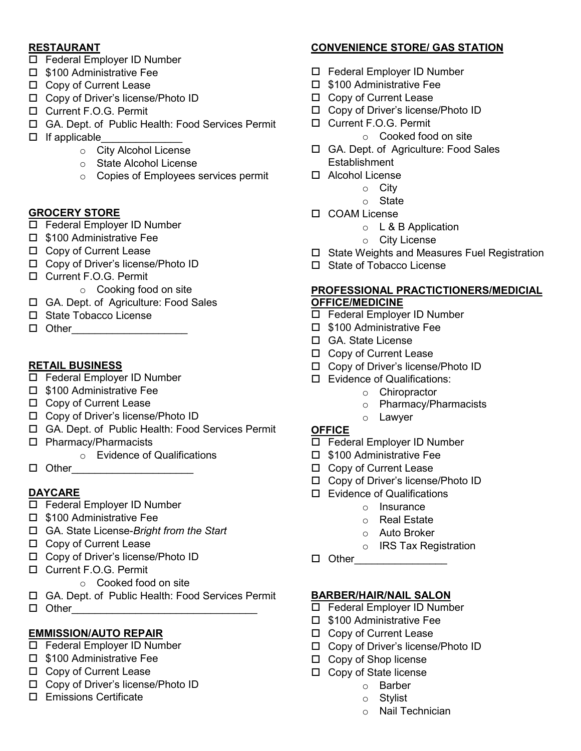### **RESTAURANT**

- □ Federal Employer ID Number
- $\square$  \$100 Administrative Fee
- □ Copy of Current Lease
- □ Copy of Driver's license/Photo ID
- □ Current F.O.G. Permit
- GA. Dept. of Public Health: Food Services Permit
- $\Box$  If applicable
	- o City Alcohol License
	- o State Alcohol License
	- o Copies of Employees services permit

### **GROCERY STORE**

- □ Federal Employer ID Number
- □ \$100 Administrative Fee
- □ Copy of Current Lease
- □ Copy of Driver's license/Photo ID
- □ Current F.O.G. Permit
	- o Cooking food on site
- GA. Dept. of Agriculture: Food Sales
- □ State Tobacco License
- $\Box$  Other

### **RETAIL BUSINESS**

- □ Federal Employer ID Number
- $\square$  \$100 Administrative Fee
- □ Copy of Current Lease
- □ Copy of Driver's license/Photo ID
- GA. Dept. of Public Health: Food Services Permit
- □ Pharmacy/Pharmacists
	- o Evidence of Qualifications
- Other\_\_\_\_\_\_\_\_\_\_\_\_\_\_\_\_\_\_\_\_\_

### **DAYCARE**

- □ Federal Employer ID Number
- $\square$  \$100 Administrative Fee
- GA. State License-*Bright from the Start*
- □ Copy of Current Lease
- □ Copy of Driver's license/Photo ID
- □ Current F.O.G. Permit
	- o Cooked food on site
- GA. Dept. of Public Health: Food Services Permit
- $\Box$  Other

### **EMMISSION/AUTO REPAIR**

- Federal Employer ID Number
- $\square$  \$100 Administrative Fee
- □ Copy of Current Lease
- □ Copy of Driver's license/Photo ID
- Emissions Certificate

### **CONVENIENCE STORE/ GAS STATION**

- □ Federal Employer ID Number
- $\square$  \$100 Administrative Fee
- □ Copy of Current Lease
- Copy of Driver's license/Photo ID
- □ Current F.O.G. Permit
	- o Cooked food on site
- GA. Dept. of Agriculture: Food Sales **Establishment**
- Alcohol License
	- o City
	- o State
- □ COAM License
	- o L & B Application
	- o City License
- □ State Weights and Measures Fuel Registration
- □ State of Tobacco License

### **PROFESSIONAL PRACTICTIONERS/MEDICIAL OFFICE/MEDICINE**

- □ Federal Employer ID Number
- $\square$  \$100 Administrative Fee
- GA. State License
- □ Copy of Current Lease
- Copy of Driver's license/Photo ID
- Evidence of Qualifications:
	- o Chiropractor
	- o Pharmacy/Pharmacists
	- o Lawyer

### **OFFICE**

- □ Federal Employer ID Number
- $\square$  \$100 Administrative Fee
- □ Copy of Current Lease
- □ Copy of Driver's license/Photo ID
- □ Evidence of Qualifications
	- o Insurance
	- o Real Estate
	- o Auto Broker
	- o IRS Tax Registration
- Other\_\_\_\_\_\_\_\_\_\_\_\_\_\_\_\_

### **BARBER/HAIR/NAIL SALON**

- □ Federal Employer ID Number
- $\square$  \$100 Administrative Fee
- □ Copy of Current Lease
- □ Copy of Driver's license/Photo ID
- □ Copy of Shop license
- $\Box$  Copy of State license
	- o Barber
	- o Stylist
	- o Nail Technician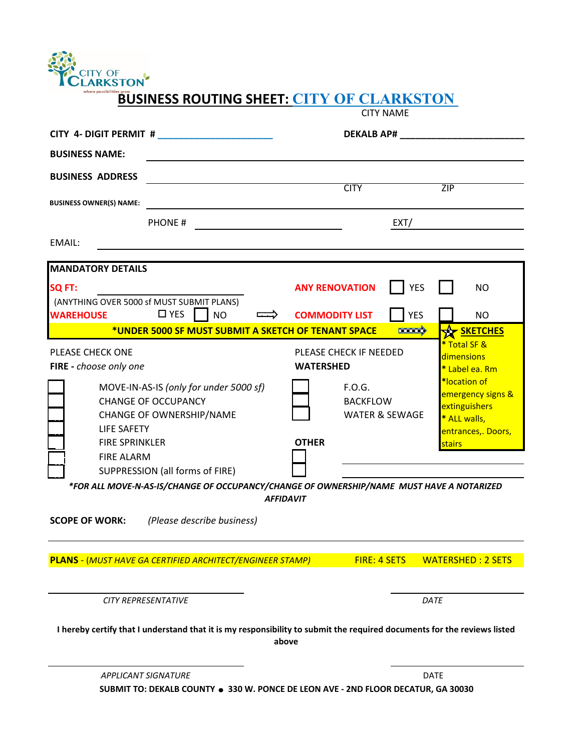

## **BUSINESS ROUTING SHEET: CITY OF CLARKSTON**

|                                                                                                                         | <b>CITY NAME</b>                                       |                                                                                          |
|-------------------------------------------------------------------------------------------------------------------------|--------------------------------------------------------|------------------------------------------------------------------------------------------|
| CITY 4- DIGIT PERMIT #                                                                                                  | <b>DEKALB AP#</b>                                      |                                                                                          |
| <b>BUSINESS NAME:</b>                                                                                                   |                                                        |                                                                                          |
| <b>BUSINESS ADDRESS</b>                                                                                                 |                                                        |                                                                                          |
| <b>BUSINESS OWNER(S) NAME:</b>                                                                                          | <b>CITY</b>                                            | ZIP                                                                                      |
| PHONE#                                                                                                                  | EXT/                                                   |                                                                                          |
| EMAIL:                                                                                                                  |                                                        |                                                                                          |
| <b>MANDATORY DETAILS</b>                                                                                                |                                                        |                                                                                          |
| SQ FT:                                                                                                                  | <b>YES</b><br><b>ANY RENOVATION</b>                    | <b>NO</b>                                                                                |
| (ANYTHING OVER 5000 sf MUST SUBMIT PLANS)<br>$\square$ YES<br><b>WAREHOUSE</b><br><b>NO</b>                             | <b>YES</b><br><b>COMMODITY LIST</b>                    | <b>NO</b>                                                                                |
| *UNDER 5000 SF MUST SUBMIT A SKETCH OF TENANT SPACE                                                                     | $\equiv$                                               | <b>EXT SKETCHES</b>                                                                      |
| PLEASE CHECK ONE<br>FIRE - choose only one                                                                              | PLEASE CHECK IF NEEDED<br><b>WATERSHED</b>             | * Total SF &<br>dimensions<br>* Label ea. Rm                                             |
| MOVE-IN-AS-IS (only for under 5000 sf)<br><b>CHANGE OF OCCUPANCY</b><br>CHANGE OF OWNERSHIP/NAME<br><b>LIFE SAFETY</b>  | F.O.G.<br><b>BACKFLOW</b><br><b>WATER &amp; SEWAGE</b> | *location of<br>emergency signs &<br>extinguishers<br>* ALL walls,<br>entrances,. Doors, |
| <b>FIRE SPRINKLER</b><br><b>FIRE ALARM</b><br>SUPPRESSION (all forms of FIRE)                                           | <b>OTHER</b>                                           | stairs                                                                                   |
| *FOR ALL MOVE-N-AS-IS/CHANGE OF OCCUPANCY/CHANGE OF OWNERSHIP/NAME MUST HAVE A NOTARIZED<br><b>AFFIDAVIT</b>            |                                                        |                                                                                          |
| (Please describe business)<br><b>SCOPE OF WORK:</b>                                                                     |                                                        |                                                                                          |
| <b>PLANS - (MUST HAVE GA CERTIFIED ARCHITECT/ENGINEER STAMP)</b>                                                        | <b>FIRE: 4 SETS</b>                                    | <b>WATERSHED: 2 SETS</b>                                                                 |
| CITY REPRESENTATIVE                                                                                                     |                                                        | DATE                                                                                     |
| I hereby certify that I understand that it is my responsibility to submit the required documents for the reviews listed | above                                                  |                                                                                          |
| <b>APPLICANT SIGNATURE</b>                                                                                              |                                                        | <b>DATE</b>                                                                              |
| SUBMIT TO: DEKALB COUNTY ● 330 W. PONCE DE LEON AVE - 2ND FLOOR DECATUR, GA 30030                                       |                                                        |                                                                                          |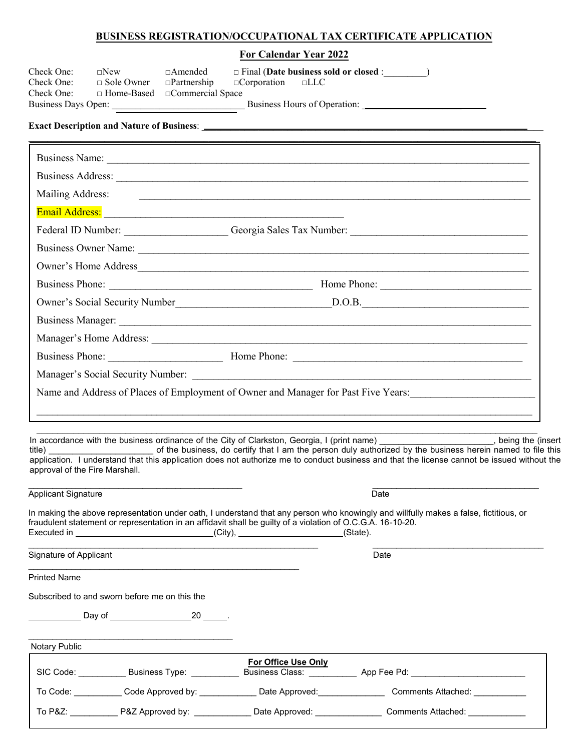### **BUSINESS REGISTRATION/OCCUPATIONAL TAX CERTIFICATE APPLICATION**

**For Calendar Year 2022**

| Check One:<br>Check One:<br>Check One:        | $\square$ New<br>$\Box$ Sole Owner | $\Box$ Amended<br>$\Box$ Partnership<br>$\Box$ Home-Based $\Box$ Commercial Space | $\Box$ Corporation $\Box$ LLC                                                                                                                                                                                                  |                                                                                                                                                                                                                                                                                                                                                                                                                                                                                                      |  |
|-----------------------------------------------|------------------------------------|-----------------------------------------------------------------------------------|--------------------------------------------------------------------------------------------------------------------------------------------------------------------------------------------------------------------------------|------------------------------------------------------------------------------------------------------------------------------------------------------------------------------------------------------------------------------------------------------------------------------------------------------------------------------------------------------------------------------------------------------------------------------------------------------------------------------------------------------|--|
|                                               |                                    |                                                                                   |                                                                                                                                                                                                                                |                                                                                                                                                                                                                                                                                                                                                                                                                                                                                                      |  |
|                                               |                                    |                                                                                   |                                                                                                                                                                                                                                |                                                                                                                                                                                                                                                                                                                                                                                                                                                                                                      |  |
|                                               |                                    |                                                                                   |                                                                                                                                                                                                                                |                                                                                                                                                                                                                                                                                                                                                                                                                                                                                                      |  |
| Mailing Address:                              |                                    |                                                                                   |                                                                                                                                                                                                                                |                                                                                                                                                                                                                                                                                                                                                                                                                                                                                                      |  |
|                                               |                                    |                                                                                   | Email Address: Lawrence and Contract and Contract and Contract and Contract and Contract and Contract and Contract and Contract and Contract and Contract and Contract and Contract and Contract and Contract and Contract and |                                                                                                                                                                                                                                                                                                                                                                                                                                                                                                      |  |
|                                               |                                    |                                                                                   |                                                                                                                                                                                                                                | Federal ID Number: Ceorgia Sales Tax Number: Ceorgia Sales Tax Number:                                                                                                                                                                                                                                                                                                                                                                                                                               |  |
|                                               |                                    |                                                                                   |                                                                                                                                                                                                                                | Business Owner Name:                                                                                                                                                                                                                                                                                                                                                                                                                                                                                 |  |
|                                               |                                    |                                                                                   |                                                                                                                                                                                                                                |                                                                                                                                                                                                                                                                                                                                                                                                                                                                                                      |  |
|                                               |                                    |                                                                                   |                                                                                                                                                                                                                                |                                                                                                                                                                                                                                                                                                                                                                                                                                                                                                      |  |
|                                               |                                    |                                                                                   |                                                                                                                                                                                                                                |                                                                                                                                                                                                                                                                                                                                                                                                                                                                                                      |  |
|                                               |                                    |                                                                                   |                                                                                                                                                                                                                                |                                                                                                                                                                                                                                                                                                                                                                                                                                                                                                      |  |
|                                               |                                    |                                                                                   |                                                                                                                                                                                                                                |                                                                                                                                                                                                                                                                                                                                                                                                                                                                                                      |  |
|                                               |                                    |                                                                                   |                                                                                                                                                                                                                                |                                                                                                                                                                                                                                                                                                                                                                                                                                                                                                      |  |
|                                               |                                    |                                                                                   |                                                                                                                                                                                                                                | Name and Address of Places of Employment of Owner and Manager for Past Five Years:                                                                                                                                                                                                                                                                                                                                                                                                                   |  |
| title)<br>approval of the Fire Marshall.      |                                    |                                                                                   |                                                                                                                                                                                                                                | <u> 2000 - Jan James James James James James James James James James James James James James James James James Ja</u><br>In accordance with the business ordinance of the City of Clarkston, Georgia, I (print name) (being the (insert<br>of the business, do certify that I am the person duly authorized by the business herein named to file this<br>application. I understand that this application does not authorize me to conduct business and that the license cannot be issued without the |  |
| Applicant Signature                           |                                    |                                                                                   |                                                                                                                                                                                                                                | Date                                                                                                                                                                                                                                                                                                                                                                                                                                                                                                 |  |
|                                               |                                    |                                                                                   | fraudulent statement or representation in an affidavit shall be guilty of a violation of O.C.G.A. 16-10-20.<br>Executed in ________________________________(City), ______________________(State).                              | In making the above representation under oath, I understand that any person who knowingly and willfully makes a false, fictitious, or                                                                                                                                                                                                                                                                                                                                                                |  |
| Signature of Applicant                        |                                    |                                                                                   |                                                                                                                                                                                                                                | Date                                                                                                                                                                                                                                                                                                                                                                                                                                                                                                 |  |
| <b>Printed Name</b>                           |                                    |                                                                                   |                                                                                                                                                                                                                                |                                                                                                                                                                                                                                                                                                                                                                                                                                                                                                      |  |
| Subscribed to and sworn before me on this the |                                    |                                                                                   |                                                                                                                                                                                                                                |                                                                                                                                                                                                                                                                                                                                                                                                                                                                                                      |  |
|                                               |                                    |                                                                                   |                                                                                                                                                                                                                                |                                                                                                                                                                                                                                                                                                                                                                                                                                                                                                      |  |
| Notary Public                                 |                                    |                                                                                   |                                                                                                                                                                                                                                |                                                                                                                                                                                                                                                                                                                                                                                                                                                                                                      |  |
|                                               |                                    |                                                                                   | For Office Use Only                                                                                                                                                                                                            |                                                                                                                                                                                                                                                                                                                                                                                                                                                                                                      |  |
|                                               |                                    |                                                                                   |                                                                                                                                                                                                                                |                                                                                                                                                                                                                                                                                                                                                                                                                                                                                                      |  |
|                                               |                                    |                                                                                   |                                                                                                                                                                                                                                | <b>Comments Attached:</b>                                                                                                                                                                                                                                                                                                                                                                                                                                                                            |  |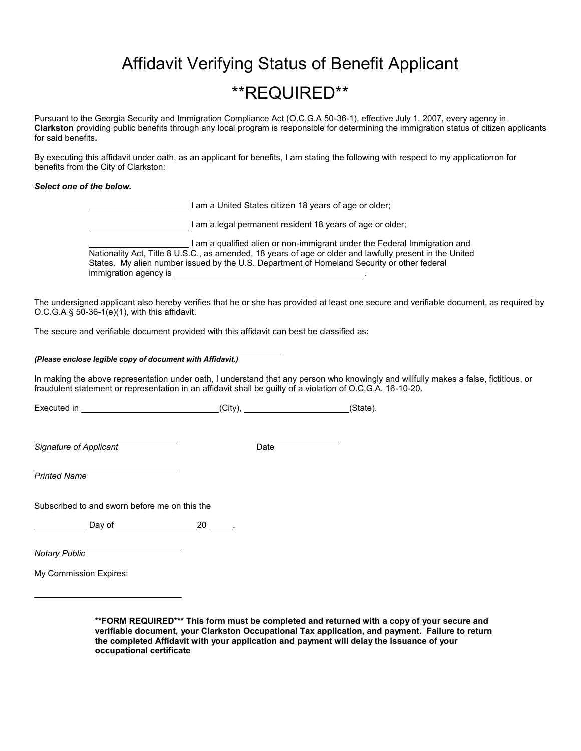# Affidavit Verifying Status of Benefit Applicant

# \*\*REQUIRED\*\*

Pursuant to the Georgia Security and Immigration Compliance Act (O.C.G.A 50-36-1), effective July 1, 2007, every agency in **Clarkston** providing public benefits through any local program is responsible for determining the immigration status of citizen applicants for said benefits**.**

By executing this affidavit under oath, as an applicant for benefits, I am stating the following with respect to my application on for benefits from the City of Clarkston:

### *Select one of the below.*

| I am a United States citizen 18 years of age or older;                                                                                                                                                                                                                                                      |
|-------------------------------------------------------------------------------------------------------------------------------------------------------------------------------------------------------------------------------------------------------------------------------------------------------------|
| I am a legal permanent resident 18 years of age or older;                                                                                                                                                                                                                                                   |
| am a qualified alien or non-immigrant under the Federal Immigration and<br>Nationality Act, Title 8 U.S.C., as amended, 18 years of age or older and lawfully present in the United<br>States. My alien number issued by the U.S. Department of Homeland Security or other federal<br>immigration agency is |

The undersigned applicant also hereby verifies that he or she has provided at least one secure and verifiable document, as required by O.C.G.A  $\S$  50-36-1(e)(1), with this affidavit.

The secure and verifiable document provided with this affidavit can best be classified as:

### *(Please enclose legible copy of document with Affidavit.)*

In making the above representation under oath, I understand that any person who knowingly and willfully makes a false, fictitious, or fraudulent statement or representation in an affidavit shall be guilty of a violation of O.C.G.A. 16-10-20.

Executed in (City), City (State).

**Signature of Applicant Date** 

*Printed Name*

Subscribed to and sworn before me on this the

Day of 20 20

*Notary Public*

My Commission Expires:

| **FORM REQUIRED*** This form must be completed and returned with a copy of your secure and       |
|--------------------------------------------------------------------------------------------------|
| verifiable document, your Clarkston Occupational Tax application, and payment. Failure to return |
| the completed Affidavit with your application and payment will delay the issuance of your        |
| occupational certificate                                                                         |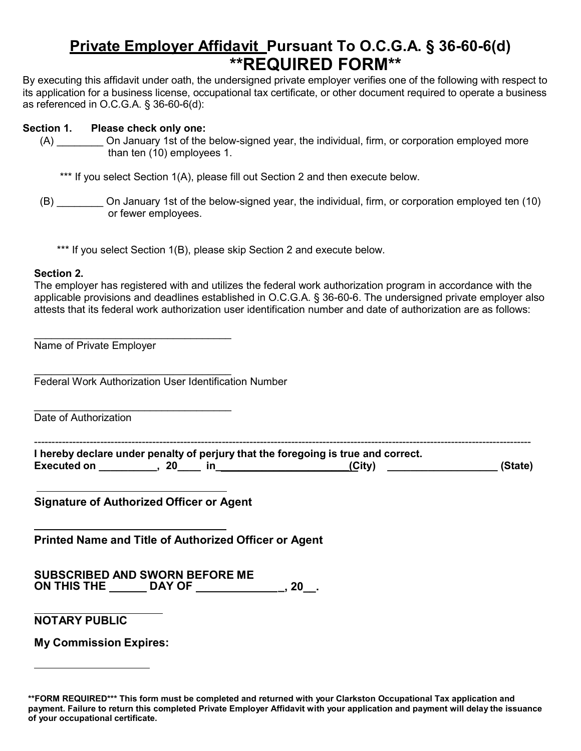# **Private Employer Affidavit Pursuant To O.C.G.A. § 36-60-6(d) \*\*REQUIRED FORM\*\***

By executing this affidavit under oath, the undersigned private employer verifies one of the following with respect to its application for a business license, occupational tax certificate, or other document required to operate a business as referenced in O.C.G.A. § 36-60-6(d):

### **Section 1. Please check only one:**

(A) \_\_\_\_\_\_\_\_ On January 1st of the below-signed year, the individual, firm, or corporation employed more than ten (10) employees 1.

\*\*\* If you select Section 1(A), please fill out Section 2 and then execute below.

(B) \_\_\_\_\_\_\_\_ On January 1st of the below-signed year, the individual, firm, or corporation employed ten (10) or fewer employees.

\*\*\* If you select Section 1(B), please skip Section 2 and execute below.

### **Section 2.**

The employer has registered with and utilizes the federal work authorization program in accordance with the applicable provisions and deadlines established in O.C.G.A. § 36-60-6. The undersigned private employer also attests that its federal work authorization user identification number and date of authorization are as follows:

\_\_\_\_\_\_\_\_\_\_\_\_\_\_\_\_\_\_\_\_\_\_\_\_\_\_\_\_\_\_\_\_\_\_ Name of Private Employer

\_\_\_\_\_\_\_\_\_\_\_\_\_\_\_\_\_\_\_\_\_\_\_\_\_\_\_\_\_\_\_\_\_\_ Federal Work Authorization User Identification Number

\_\_\_\_\_\_\_\_\_\_\_\_\_\_\_\_\_\_\_\_\_\_\_\_\_\_\_\_\_\_\_\_\_\_ Date of Authorization

| I hereby declare under penalty of perjury that the foregoing is true and correct. |  |  |        |         |
|-----------------------------------------------------------------------------------|--|--|--------|---------|
|                                                                                   |  |  |        |         |
| <b>Executed on</b>                                                                |  |  | (City) | (State) |

**Signature of Authorized Officer or Agent**

**Printed Name and Title of Authorized Officer or Agent**

**SUBSCRIBED AND SWORN BEFORE ME ON THIS THE DAY OF \_, 20\_\_.**

### **NOTARY PUBLIC**

**My Commission Expires:**

**<sup>\*\*</sup>FORM REQUIRED\*\*\* This form must be completed and returned with your Clarkston Occupational Tax application and payment. Failure to return this completed Private Employer Affidavit with your application and payment will delay the issuance of your occupational certificate.**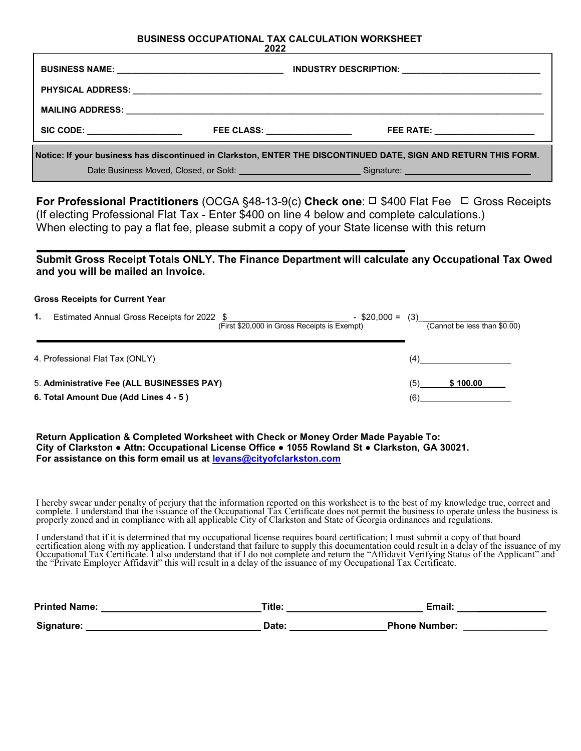#### **BUSINESS OCCUPATIONAL TAX CALCULATION WORKSHEET 2022**

|                                                                                                                 | LULL                                 |                                                                                                                |  |  |  |
|-----------------------------------------------------------------------------------------------------------------|--------------------------------------|----------------------------------------------------------------------------------------------------------------|--|--|--|
|                                                                                                                 |                                      | INDUSTRY DESCRIPTION: ____________________________                                                             |  |  |  |
|                                                                                                                 |                                      |                                                                                                                |  |  |  |
|                                                                                                                 |                                      |                                                                                                                |  |  |  |
| SIC CODE: __________________                                                                                    | <b>FEE CLASS: __________________</b> | FEE RATE: ______________________                                                                               |  |  |  |
| Notice: If your business has discontinued in Clarkston, ENTER THE DISCONTINUED DATE, SIGN AND RETURN THIS FORM. |                                      |                                                                                                                |  |  |  |
|                                                                                                                 |                                      | Date Business Moved, Closed, or Sold: National Communication of Signature: National Communication of Signature |  |  |  |

**For Professional Practitioners** (OCGA §48-13-9(c) Check one: □ \$400 Flat Fee □ Gross Receipts (If electing Professional Flat Tax - Enter \$400 on line 4 below and complete calculations.) When electing to pay a flat fee, please submit a copy of your State license with this return

### **Submit Gross Receipt Totals ONLY. The Finance Department will calculate any Occupational Tax Owed and you will be mailed an Invoice.**

#### **Gross Receipts for Current Year**

| 1. | Estimated Annual Gross Receipts for 2022<br>(First \$20,000 in Gross Receipts is Exempt) | $-$ \$20,000 = | (3) | (Cannot be less than \$0.00) |
|----|------------------------------------------------------------------------------------------|----------------|-----|------------------------------|
|    | 4. Professional Flat Tax (ONLY)                                                          |                |     |                              |
|    | 5. Administrative Fee (ALL BUSINESSES PAY)                                               |                | (5) | \$100.00                     |
|    | 6. Total Amount Due (Add Lines 4 - 5)                                                    |                | (6) |                              |

**Return Application & Completed Worksheet with Check or Money Order Made Payable To: City of Clarkston ● Attn: Occupational License Office ● 1055 Rowland St ● Clarkston, GA 30021. For assistance on this form email us at [levans@cityofclarkston.com](mailto:levans@cityofclarkston.com)**

I hereby swear under penalty of perjury that the information reported on this worksheet is to the best of my knowledge true, correct and complete. I understand that the issuance of the Occupational Tax Certificate does not permit the business to operate unless the business is properly zoned and in compliance with all applicable City of Clarkston and State o

I understand that if it is determined that my occupational license requires board certification; I must submit a copy of that board<br>certification along with my application. I understand that failure to supply this document the "Private Employer Affidavit" this will result in a delay of the issuance of my Occupational Tax Certificate.

| <b>Printed Name:</b> | Title: | Email                |  |
|----------------------|--------|----------------------|--|
| Signature:           | Date:  | <b>Phone Number:</b> |  |